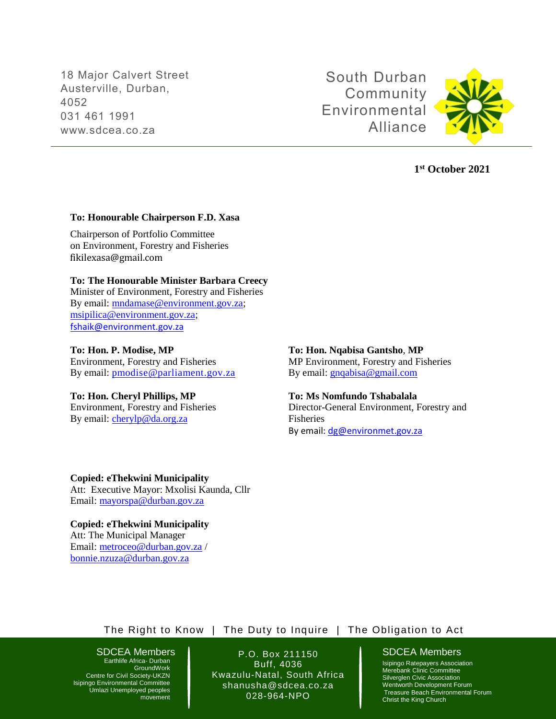18 Major Calvert Street Austerville, Durban, 4052 031 461 1991 www.sdcea.co.za

South Durban Community Environmental Alliance



## **1 st October 2021**

### **To: Honourable Chairperson F.D. Xasa**

Chairperson of Portfolio Committee on Environment, Forestry and Fisheries [fikilexasa@gmail.com](mailto:fikilexasa@gmail.com)

## **To: The Honourable Minister Barbara Creecy**

Minister of Environment, Forestry and Fisheries By email: [mndamase@environment.gov.za;](mailto:mndamase@environment.gov.za) [msipilica@environment.gov.za;](mailto:msipilica@environment.gov.za) [fshaik@environment.gov.za](mailto:fshaik@environment.gov.za)

## **To: Hon. P. Modise, MP**

Environment, Forestry and Fisheries By email: [pmodise@parliament.gov.za](mailto:pmodise@parliament.gov.za)

## **To: Hon. Cheryl Phillips, MP** Environment, Forestry and Fisheries

By email: [cherylp@da.org.za](mailto:cherylp@da.org.za)

## **To: Hon. Nqabisa Gantsho**, **MP**

MP Environment, Forestry and Fisheries By email: [gnqabisa@gmail.com](mailto:gnqabisa@gmail.com)

## **To: Ms Nomfundo Tshabalala**

Director-General Environment, Forestry and Fisheries By email: [dg@environmet.gov.za](mailto:dg@environmet.gov.za)

**Copied: eThekwini Municipality**  Att: Executive Mayor: Mxolisi Kaunda, Cllr Email: [mayorspa@durban.gov.za](mailto:mayorspa@durban.gov.za)

**Copied: eThekwini Municipality**  Att: The Municipal Manager Email: [metroceo@durban.gov.za](mailto:metroceo@durban.gov.za) / [bonnie.nzuza@durban.gov.za](mailto:bonnie.nzuza@durban.gov.za) 

## The Right to Know | The Duty to Inquire | The Obligation to Act

# SDCEA Members | P.O. Box 211150 | SDCEA Members

Earthlife Africa- Durban **GroundWork** Centre for Civil Society-UKZN Isipingo Environmental Committee Umlazi Unemployed peoples movement

Buff, 4036 Kwazulu-Natal, South Africa shanusha@sdcea.co.za 028-964-NPO

Isipingo Ratepayers Association Merebank Clinic Committee Silverglen Civic Association Wentworth Development Forum Treasure Beach Environmental Forum Christ the King Church